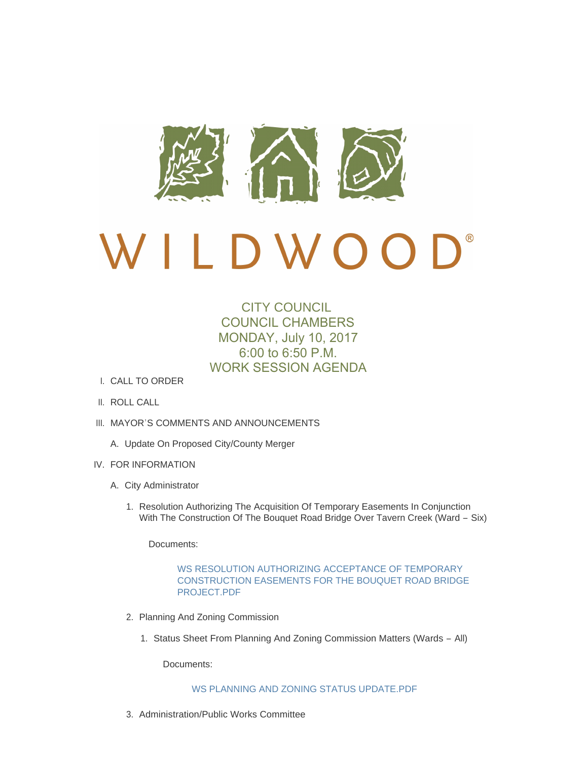

# $\mathbf{D}^*$ D W O O

# CITY COUNCIL COUNCIL CHAMBERS MONDAY, July 10, 2017 6:00 to 6:50 P.M. WORK SESSION AGENDA

- CALL TO ORDER I.
- II. ROLL CALL
- III. MAYOR'S COMMENTS AND ANNOUNCEMENTS
	- A. Update On Proposed City/County Merger
- IV. FOR INFORMATION
	- A. City Administrator
		- 1. Resolution Authorizing The Acquisition Of Temporary Easements In Conjunction With The Construction Of The Bouquet Road Bridge Over Tavern Creek (Ward – Six)

Documents:

# WS RESOLUTION AUTHORIZING ACCEPTANCE OF TEMPORARY [CONSTRUCTION EASEMENTS FOR THE BOUQUET ROAD BRIDGE](http://cityofwildwood.com/AgendaCenter/ViewFile/Item/11425?fileID=16302)  PROJECT.PDF

- 2. Planning And Zoning Commission
	- 1. Status Sheet From Planning And Zoning Commission Matters (Wards All)

Documents:

### [WS PLANNING AND ZONING STATUS UPDATE.PDF](http://cityofwildwood.com/AgendaCenter/ViewFile/Item/11427?fileID=16303)

3. Administration/Public Works Committee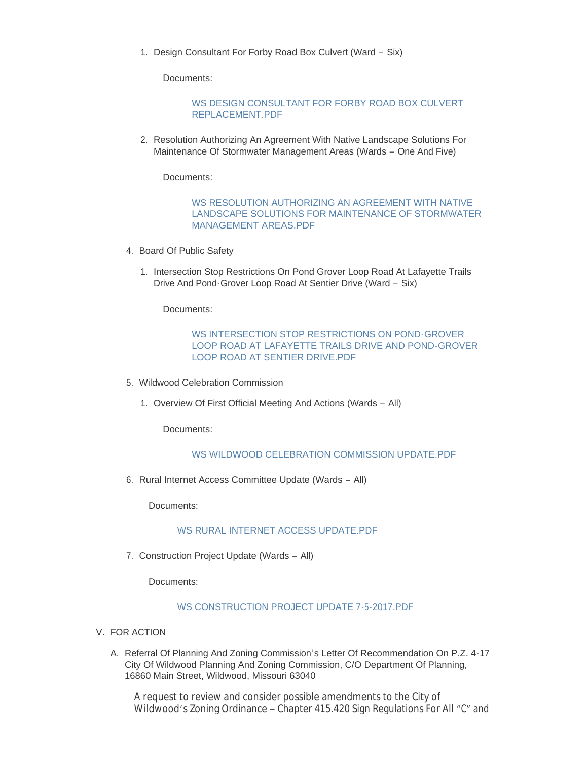1. Design Consultant For Forby Road Box Culvert (Ward - Six)

Documents:

#### [WS DESIGN CONSULTANT FOR FORBY ROAD BOX CULVERT](http://cityofwildwood.com/AgendaCenter/ViewFile/Item/11429?fileID=16304)  REPLACEMENT.PDF

2. Resolution Authorizing An Agreement With Native Landscape Solutions For Maintenance Of Stormwater Management Areas (Wards – One And Five)

Documents:

### WS RESOLUTION AUTHORIZING AN AGREEMENT WITH NATIVE [LANDSCAPE SOLUTIONS FOR MAINTENANCE OF STORMWATER](http://cityofwildwood.com/AgendaCenter/ViewFile/Item/11430?fileID=16305)  MANAGEMENT AREAS.PDF

- 4. Board Of Public Safety
	- 1. Intersection Stop Restrictions On Pond Grover Loop Road At Lafayette Trails Drive And Pond-Grover Loop Road At Sentier Drive (Ward – Six)

Documents:

# WS INTERSECTION STOP RESTRICTIONS ON POND-GROVER [LOOP ROAD AT LAFAYETTE TRAILS DRIVE AND POND-GROVER](http://cityofwildwood.com/AgendaCenter/ViewFile/Item/11432?fileID=16306)  LOOP ROAD AT SENTIER DRIVE.PDF

- Wildwood Celebration Commission 5.
	- 1. Overview Of First Official Meeting And Actions (Wards All)

Documents:

## [WS WILDWOOD CELEBRATION COMMISSION UPDATE.PDF](http://cityofwildwood.com/AgendaCenter/ViewFile/Item/11434?fileID=16307)

6. Rural Internet Access Committee Update (Wards - All)

Documents:

### [WS RURAL INTERNET ACCESS UPDATE.PDF](http://cityofwildwood.com/AgendaCenter/ViewFile/Item/11435?fileID=16308)

7. Construction Project Update (Wards - All)

Documents:

# [WS CONSTRUCTION PROJECT UPDATE 7-5-2017.PDF](http://cityofwildwood.com/AgendaCenter/ViewFile/Item/11436?fileID=16309)

- V. FOR ACTION
	- A. Referral Of Planning And Zoning Commission's Letter Of Recommendation On P.Z. 4-17 City Of Wildwood Planning And Zoning Commission, C/O Department Of Planning, 16860 Main Street, Wildwood, Missouri 63040

A request to review and consider possible amendments to the City of Wildwood's Zoning Ordinance – Chapter 415.420 Sign Regulations For All "C" and